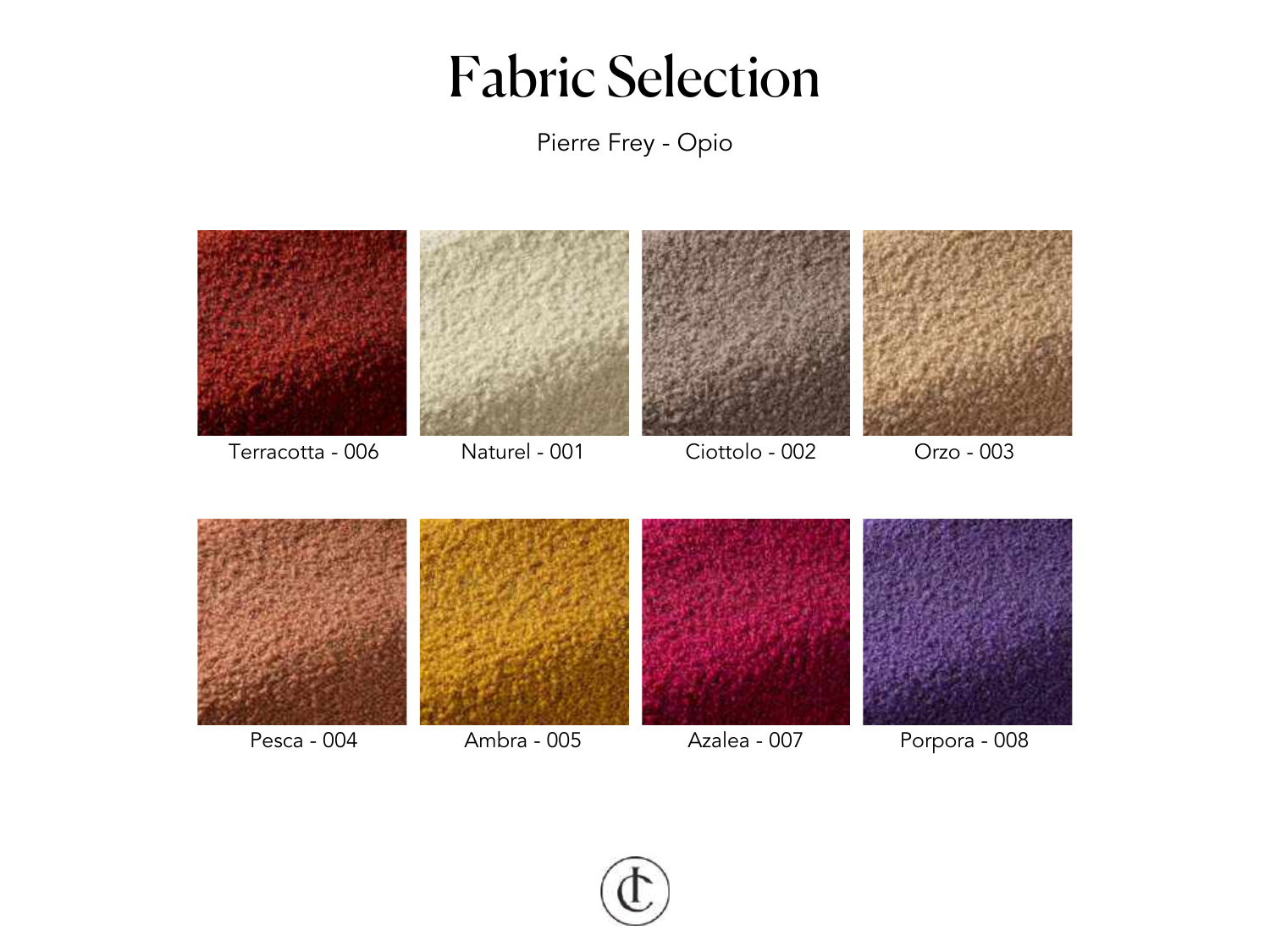Pierre Frey - Opio



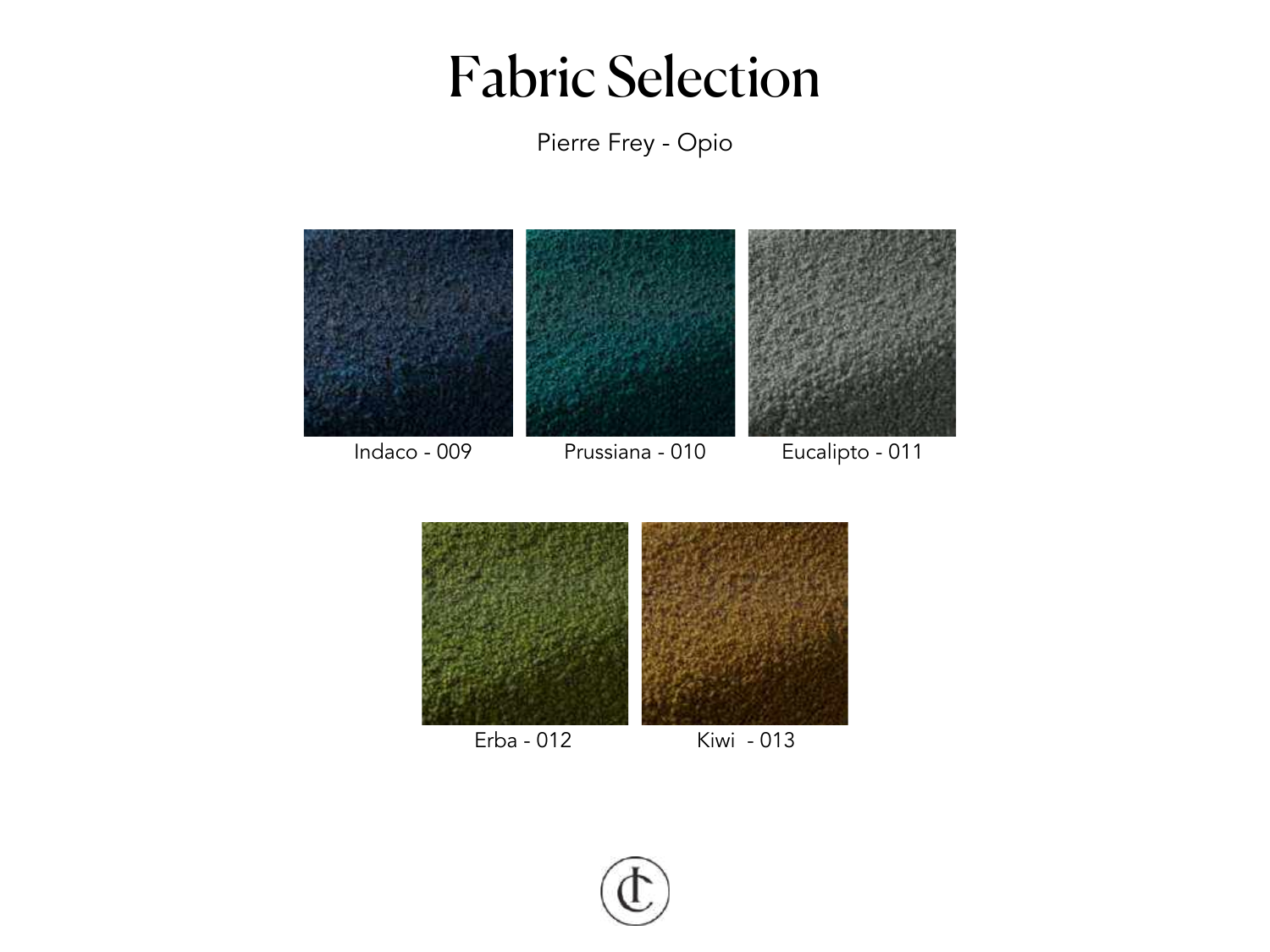Pierre Frey - Opio





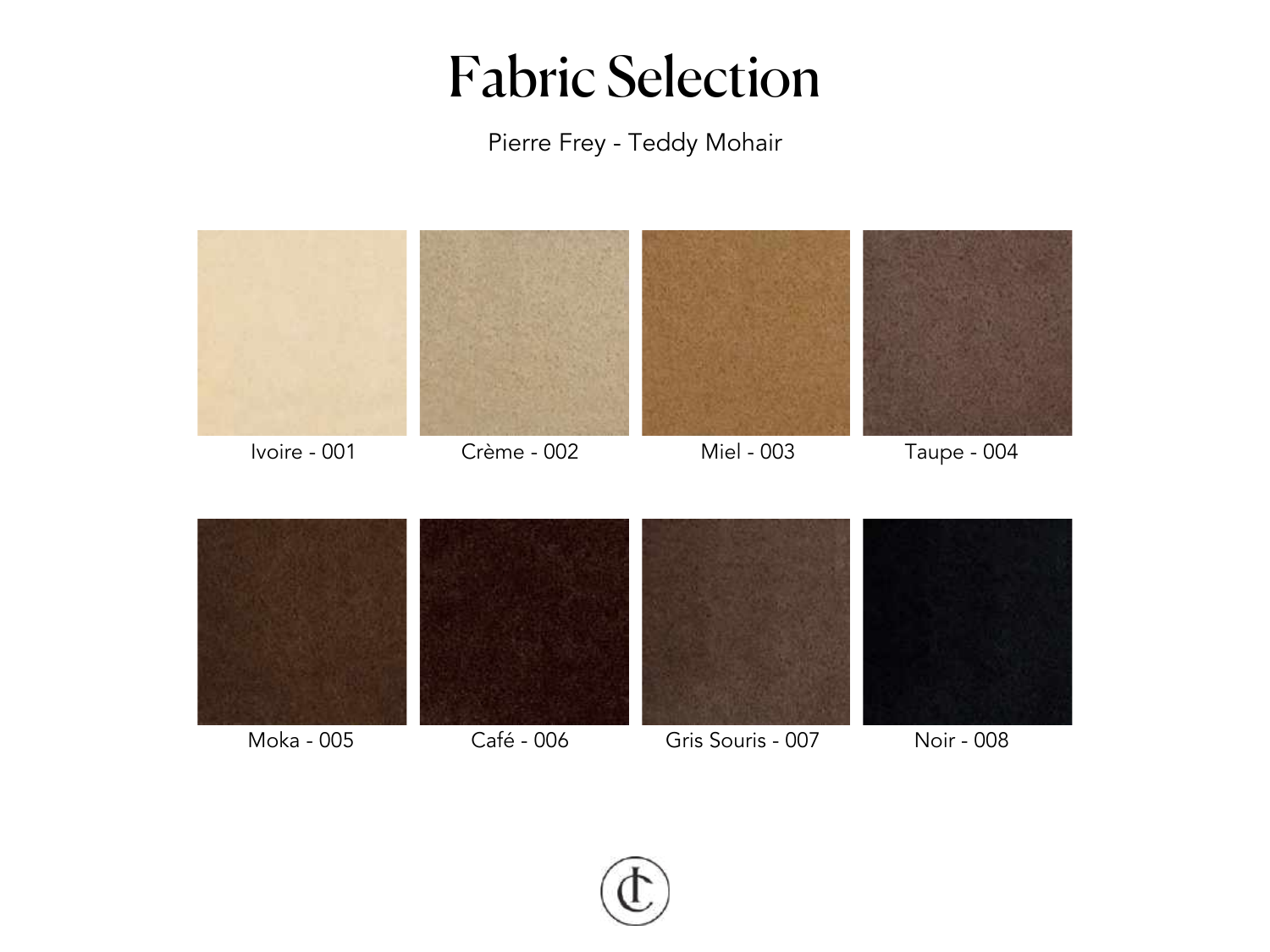

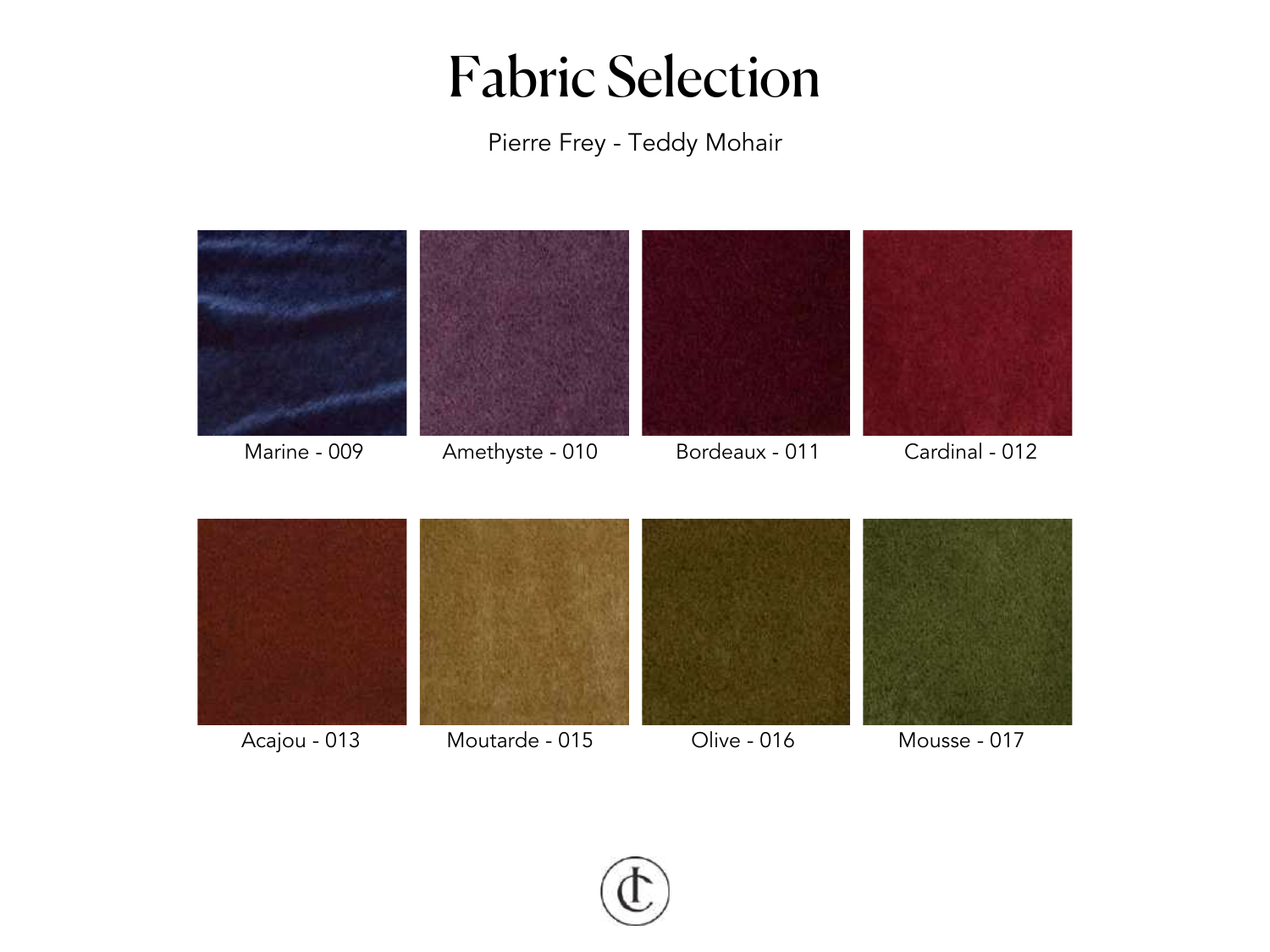

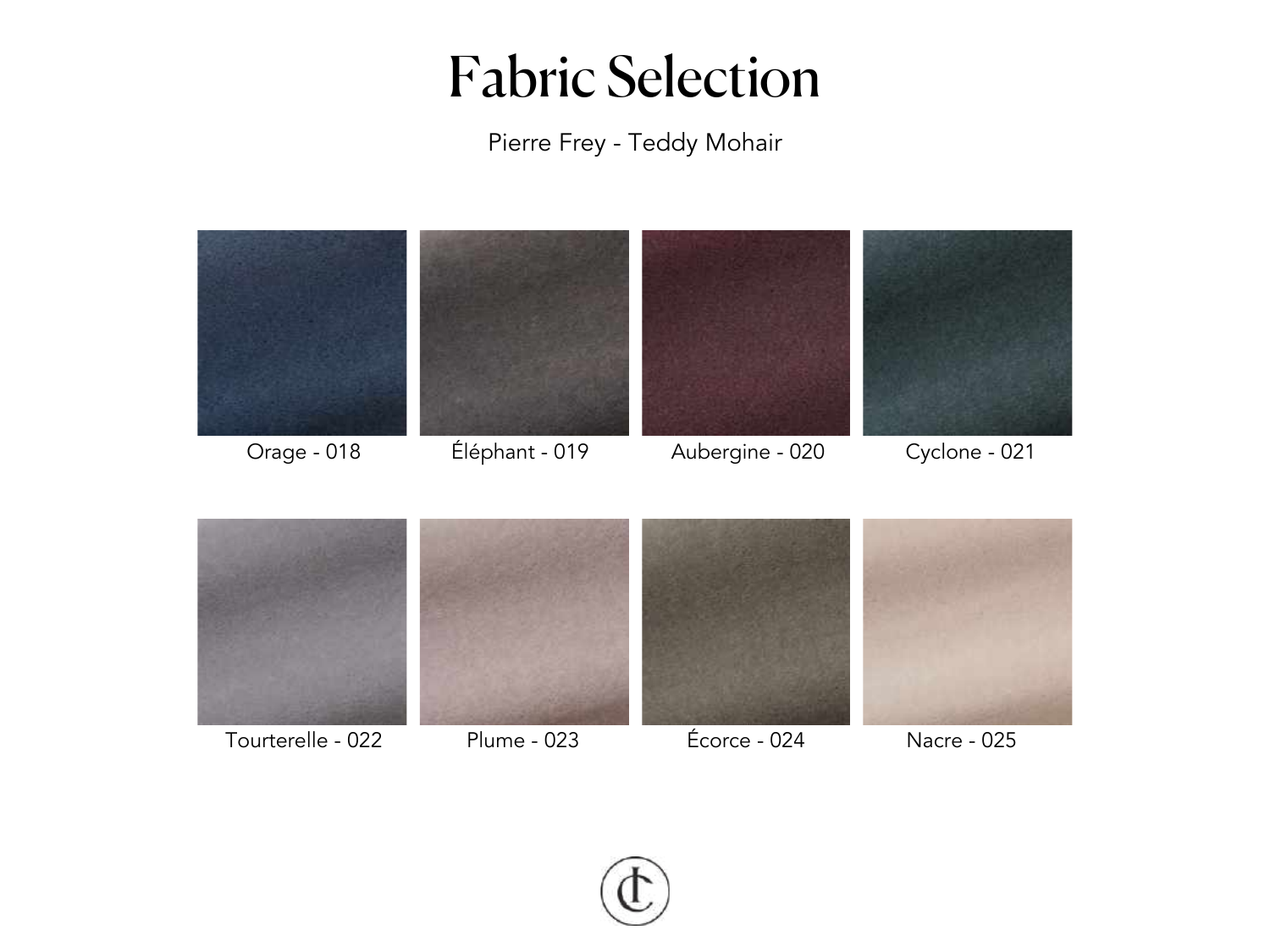

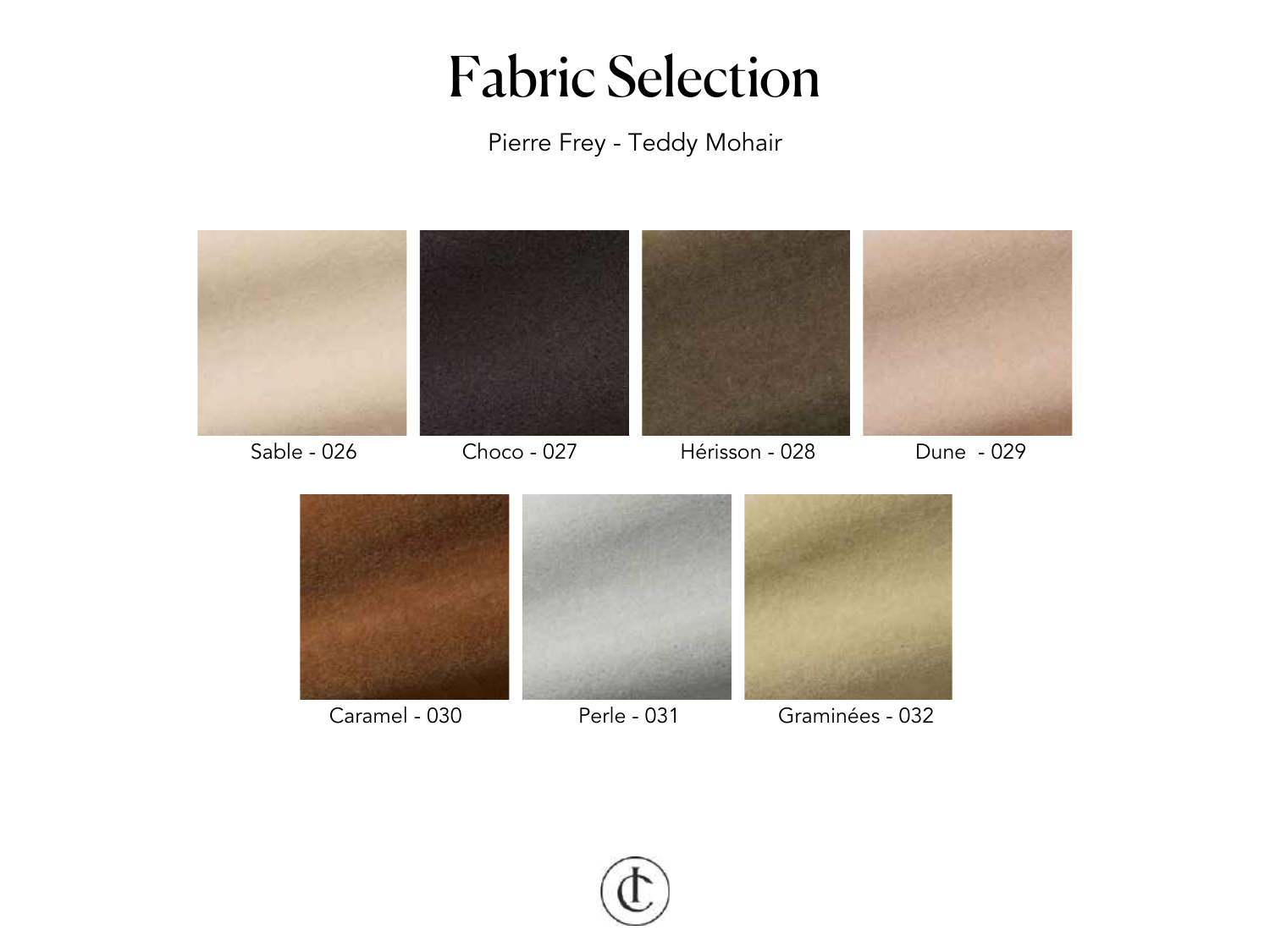

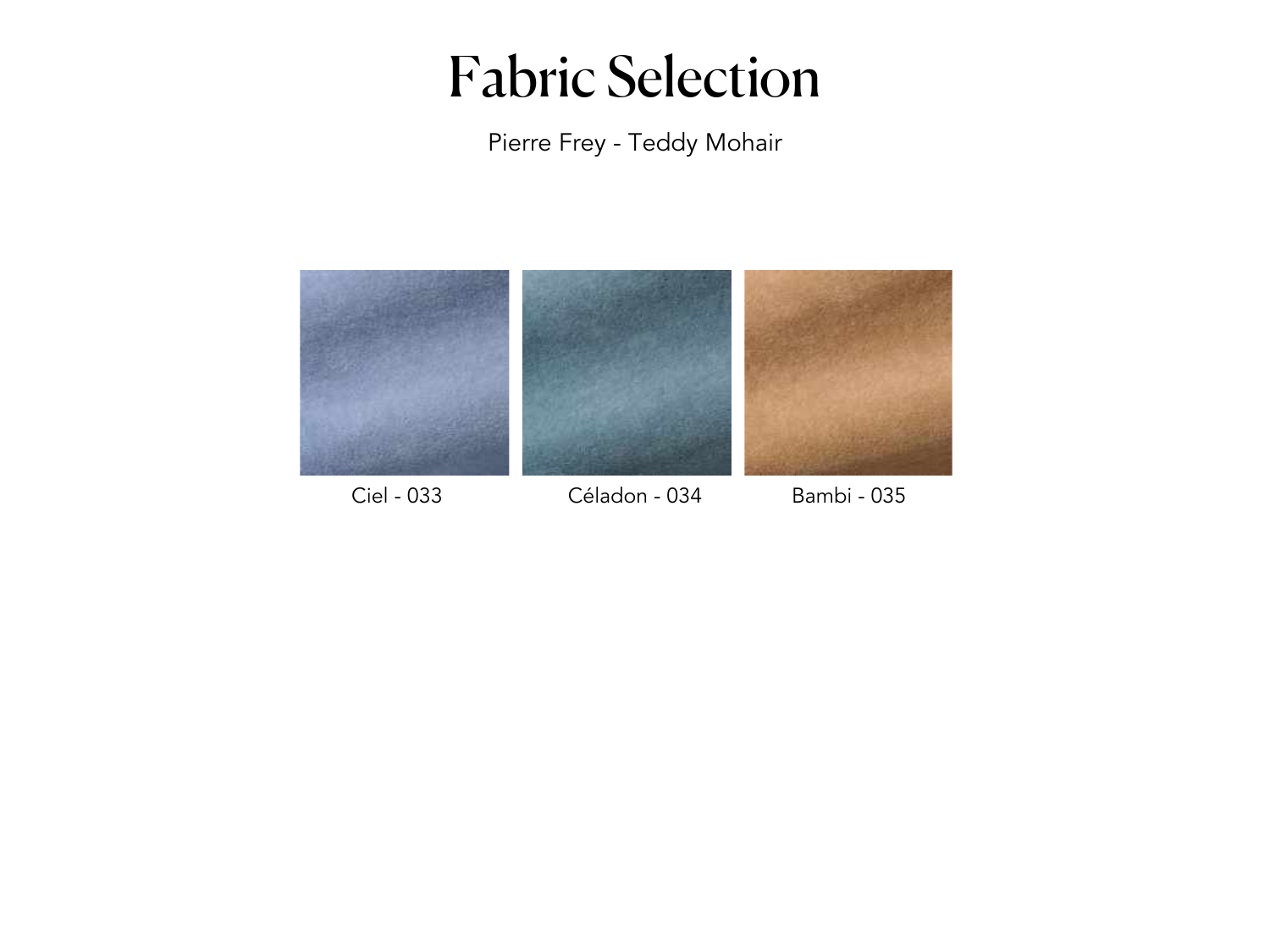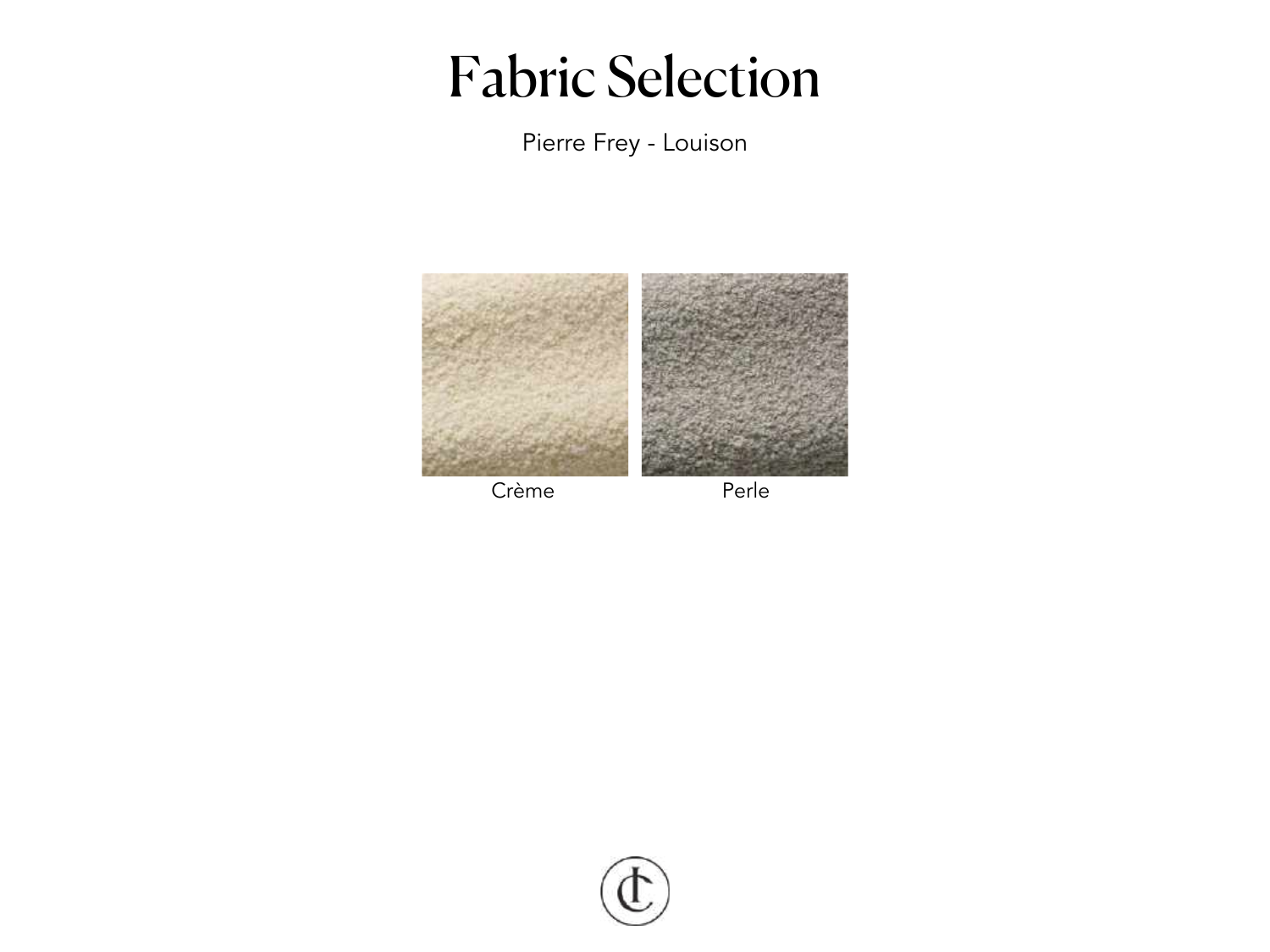Pierre Frey - Louison



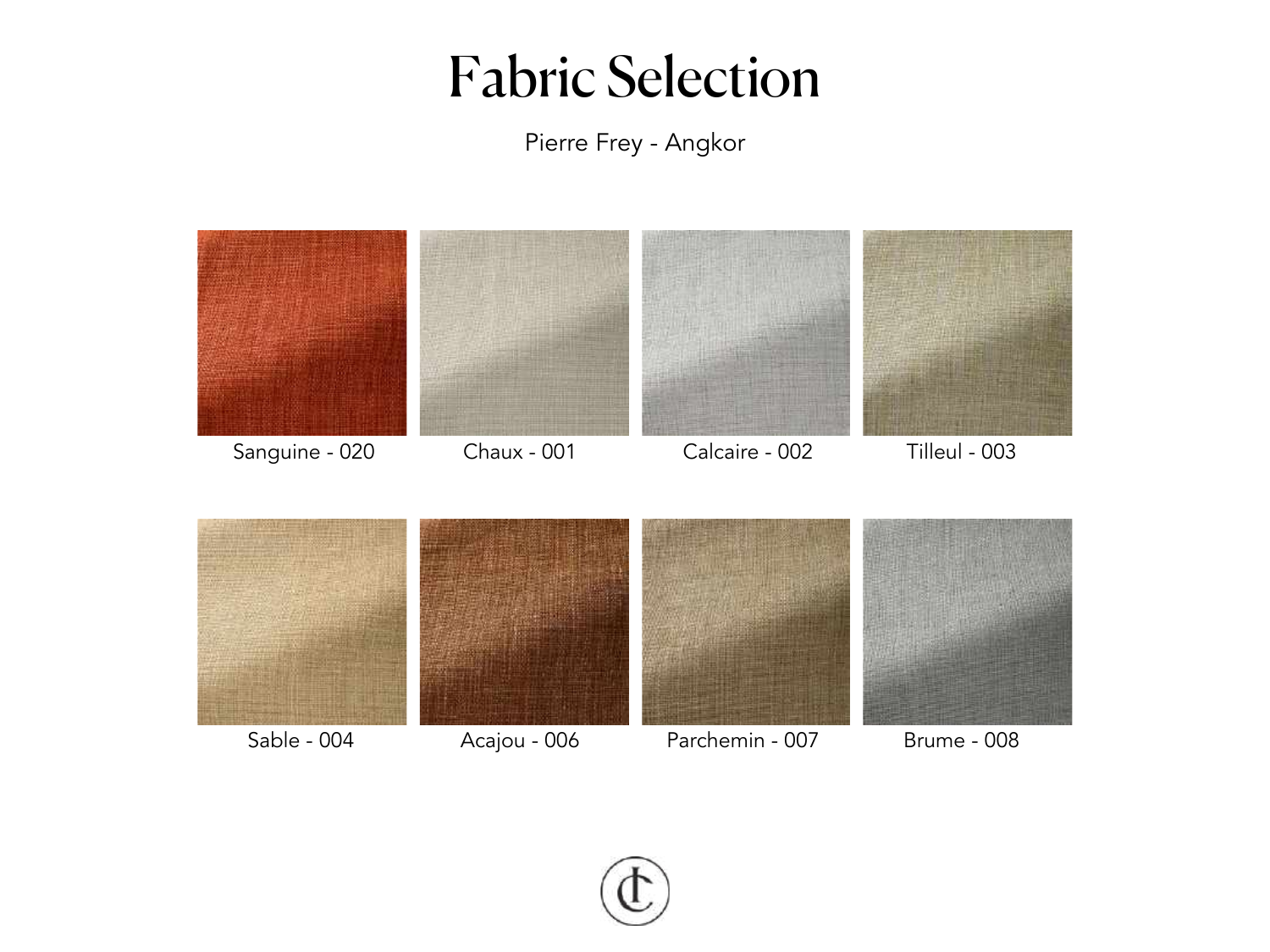Pierre Frey - Angkor



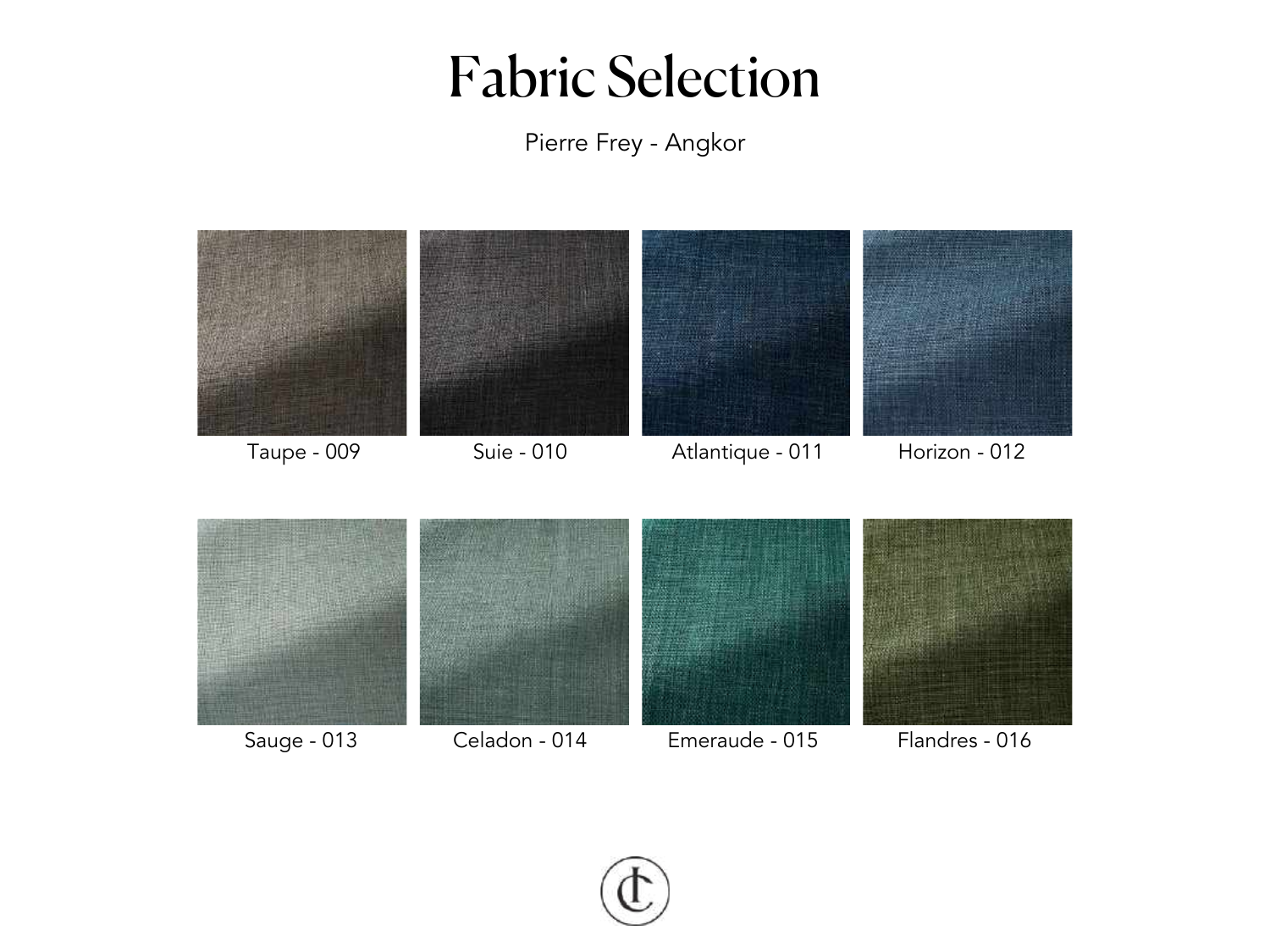Pierre Frey - Angkor



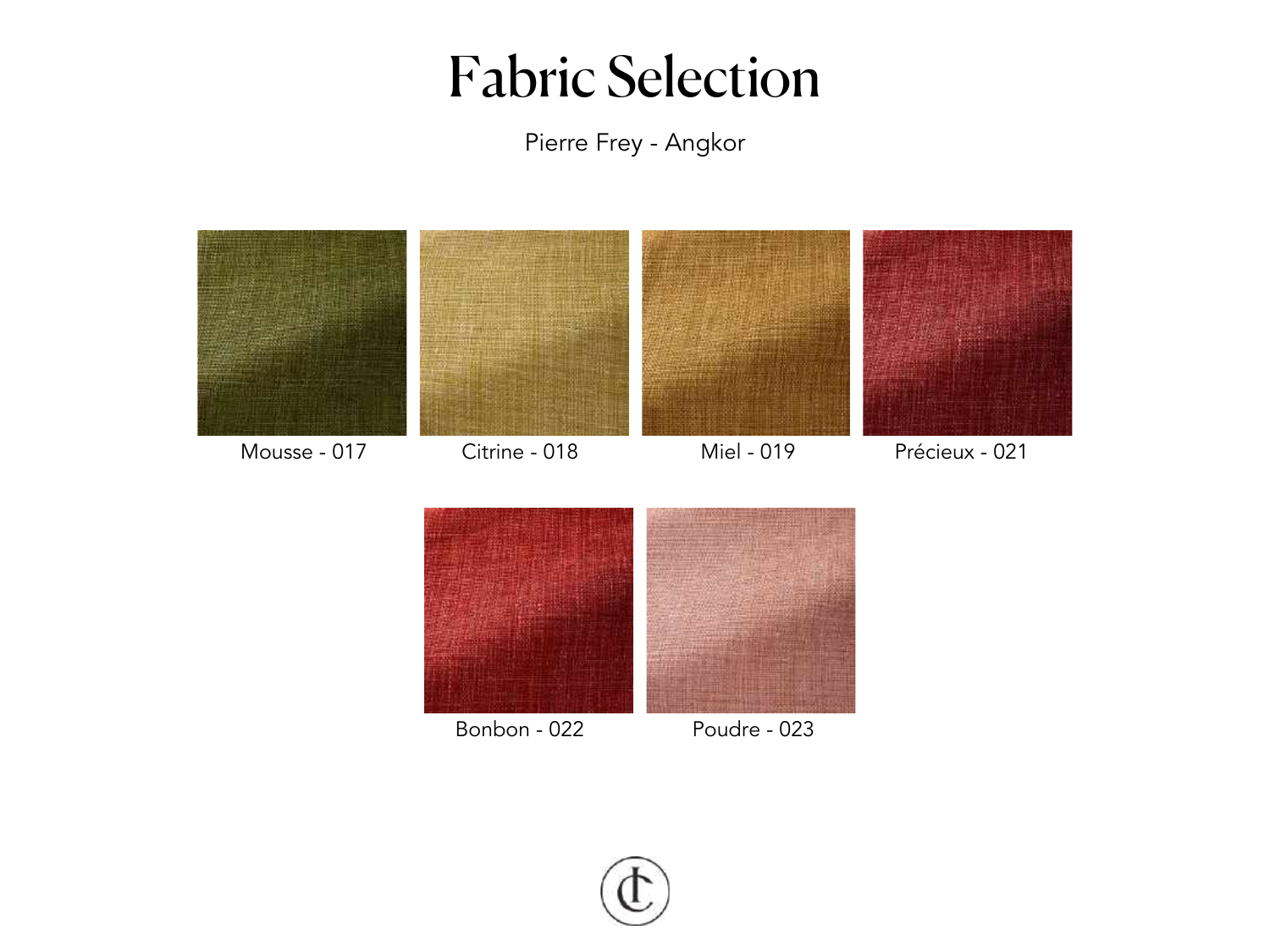Pierre Frey - Angkor



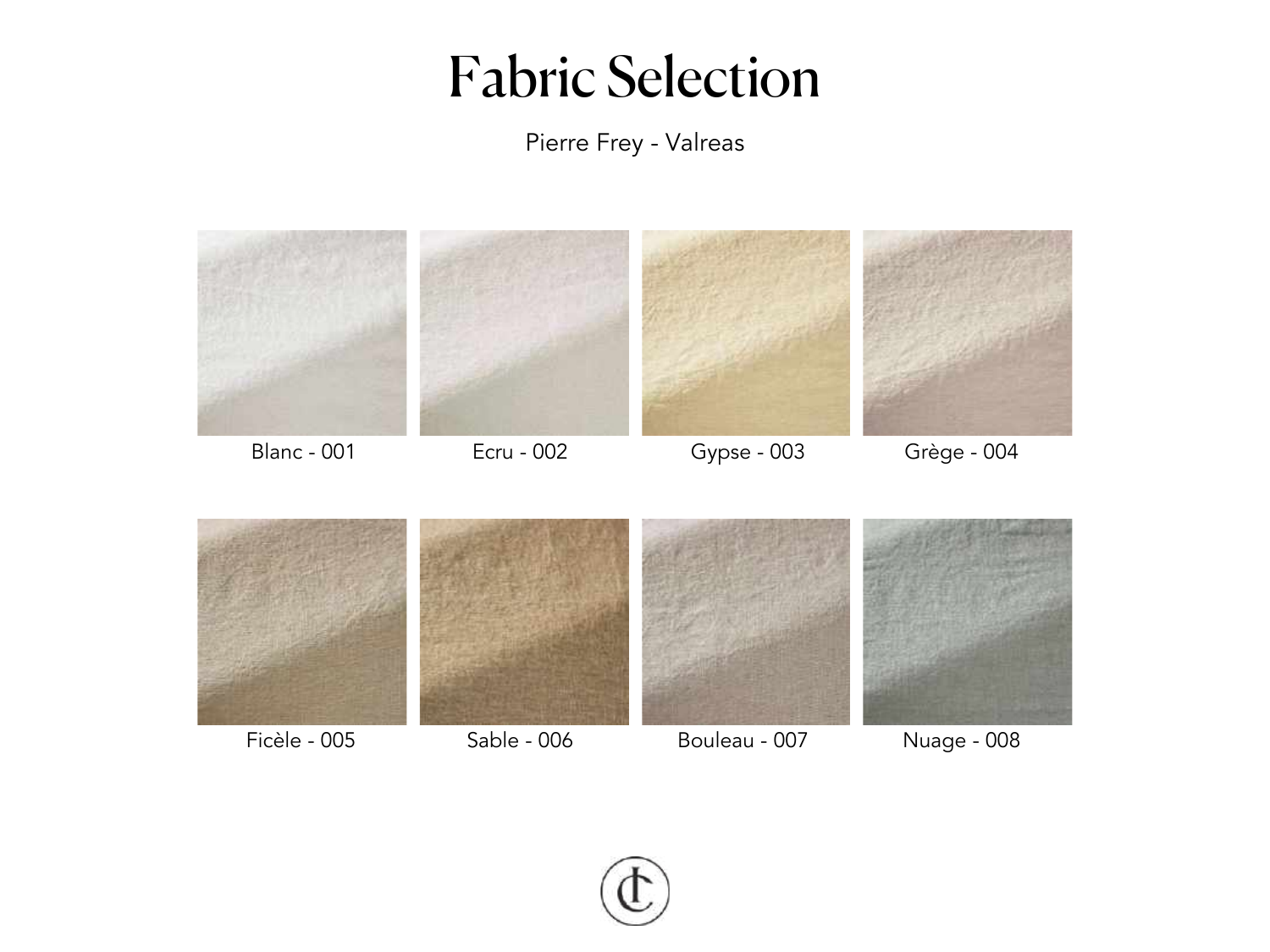Pierre Frey - Valreas



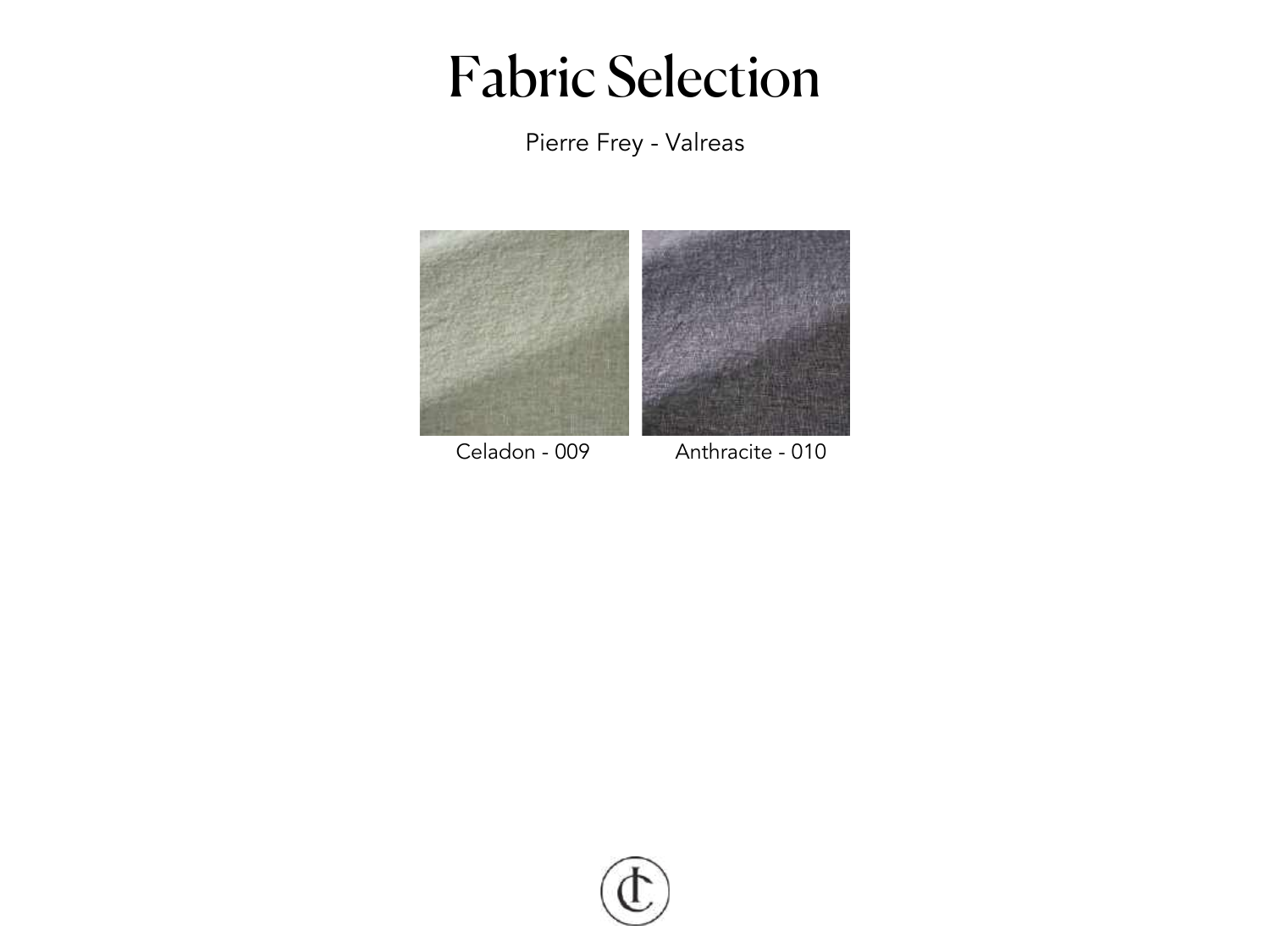Pierre Frey - Valreas



Celadon - 009 Anthracite - 010

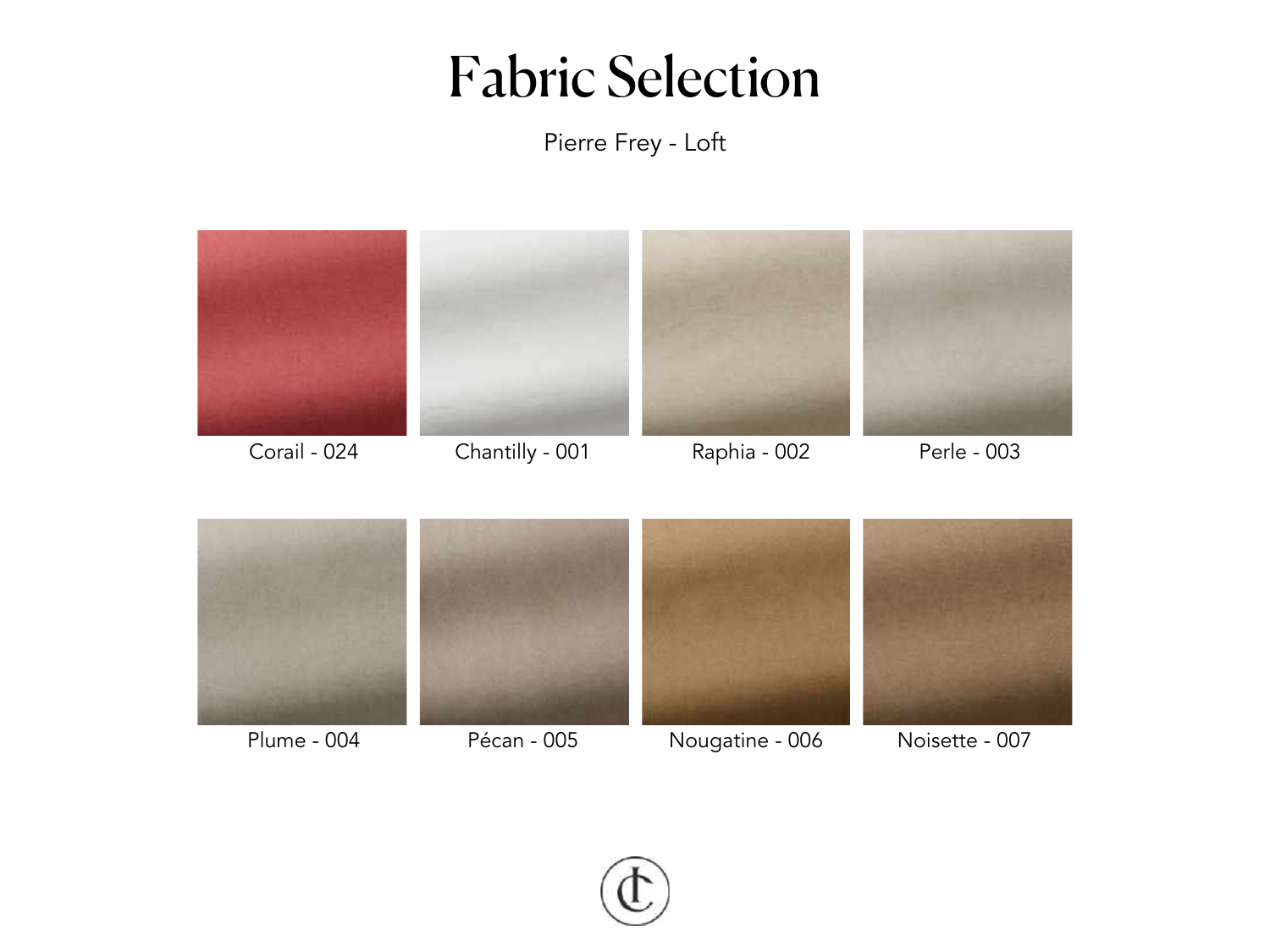Pierre Frey - Loft



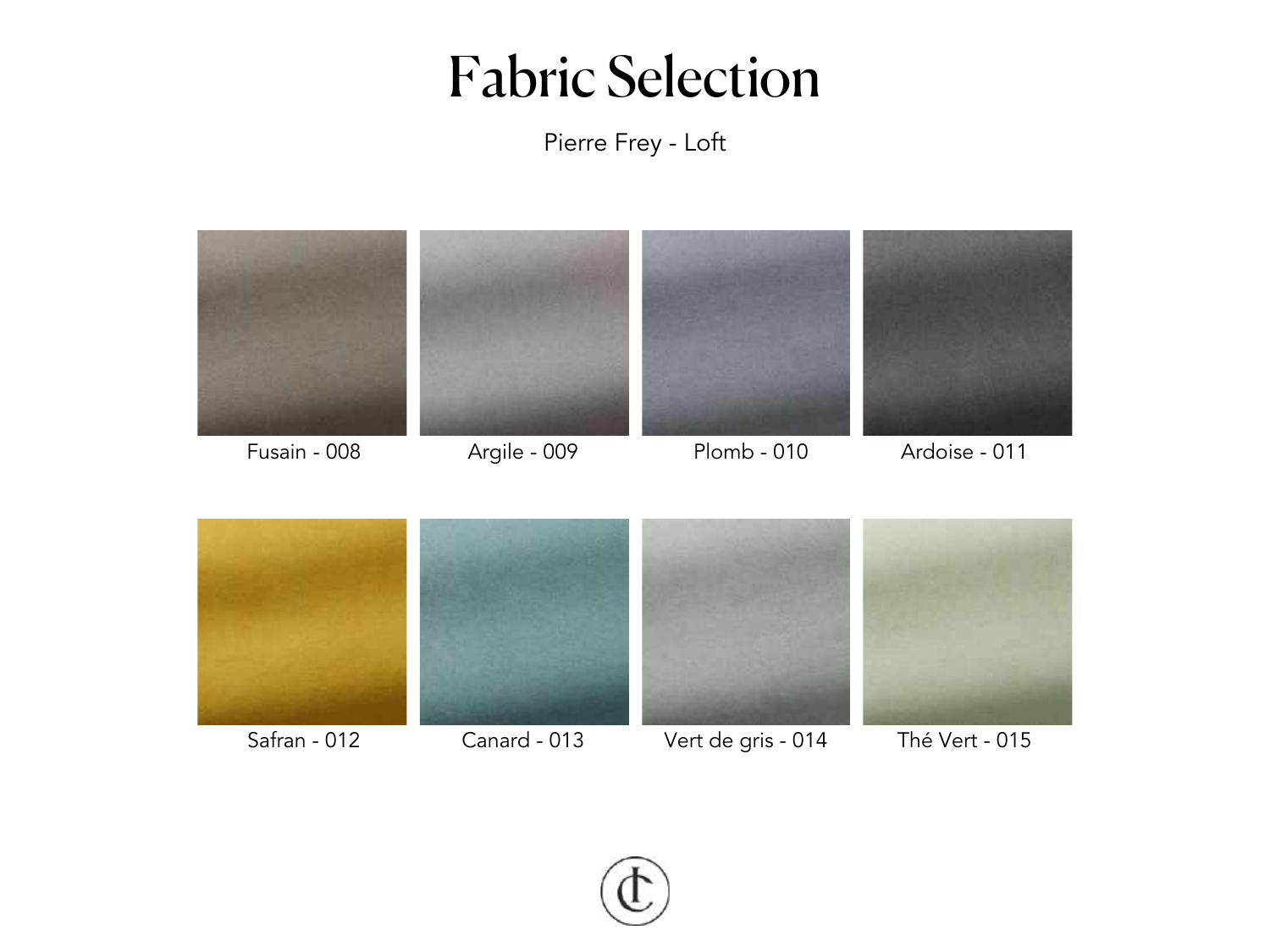Pierre Frey - Loft



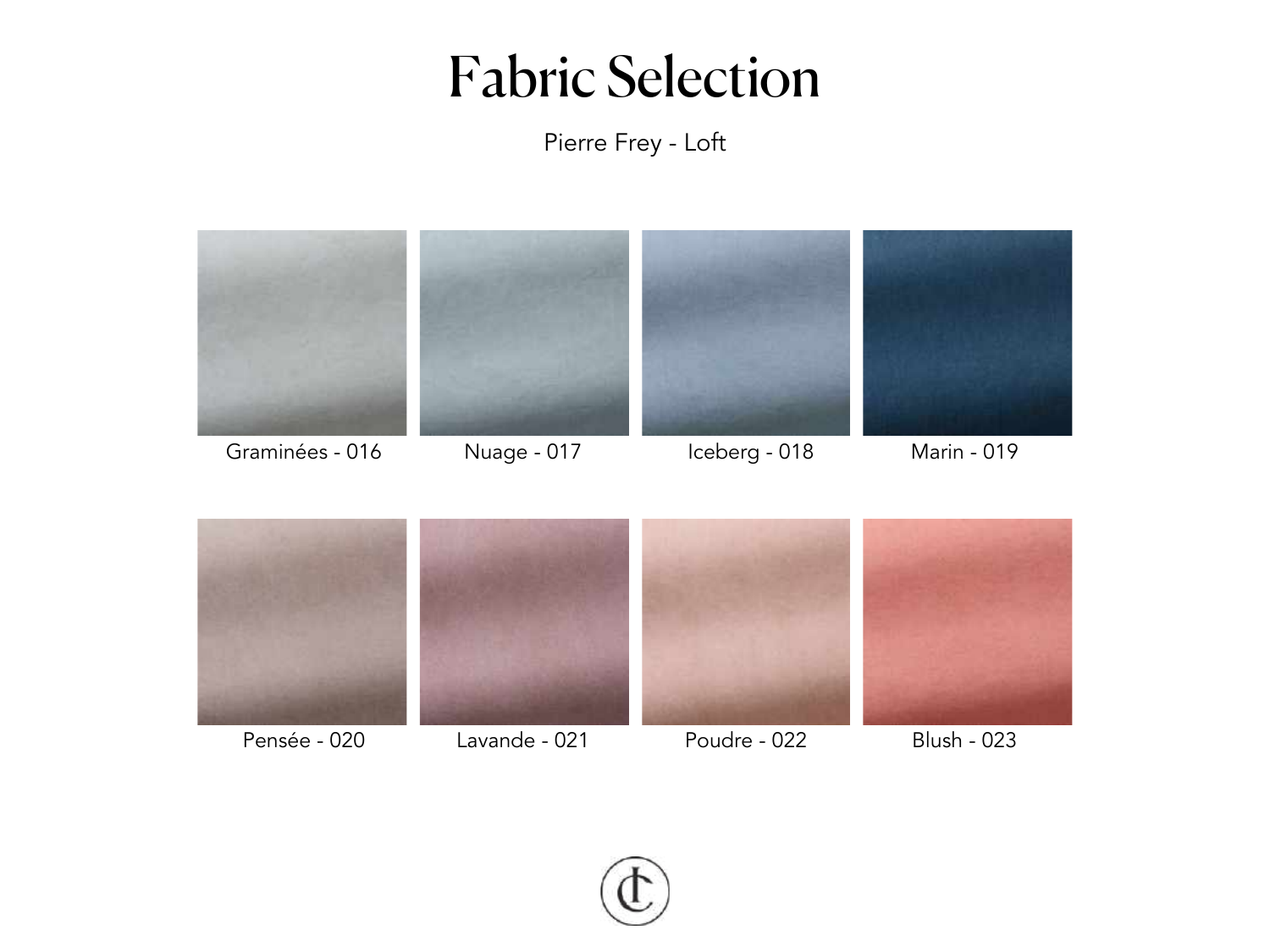Pierre Frey - Loft



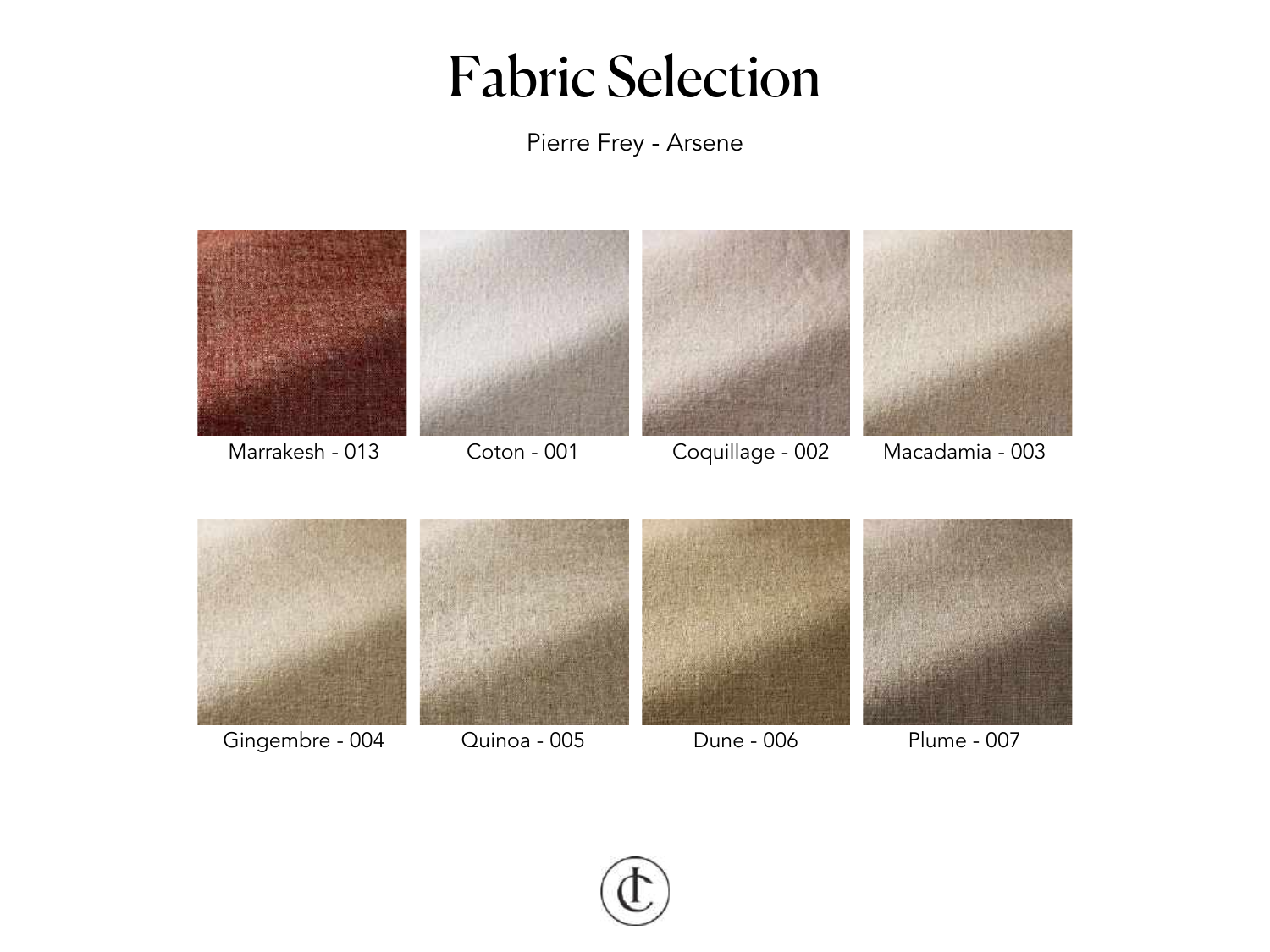

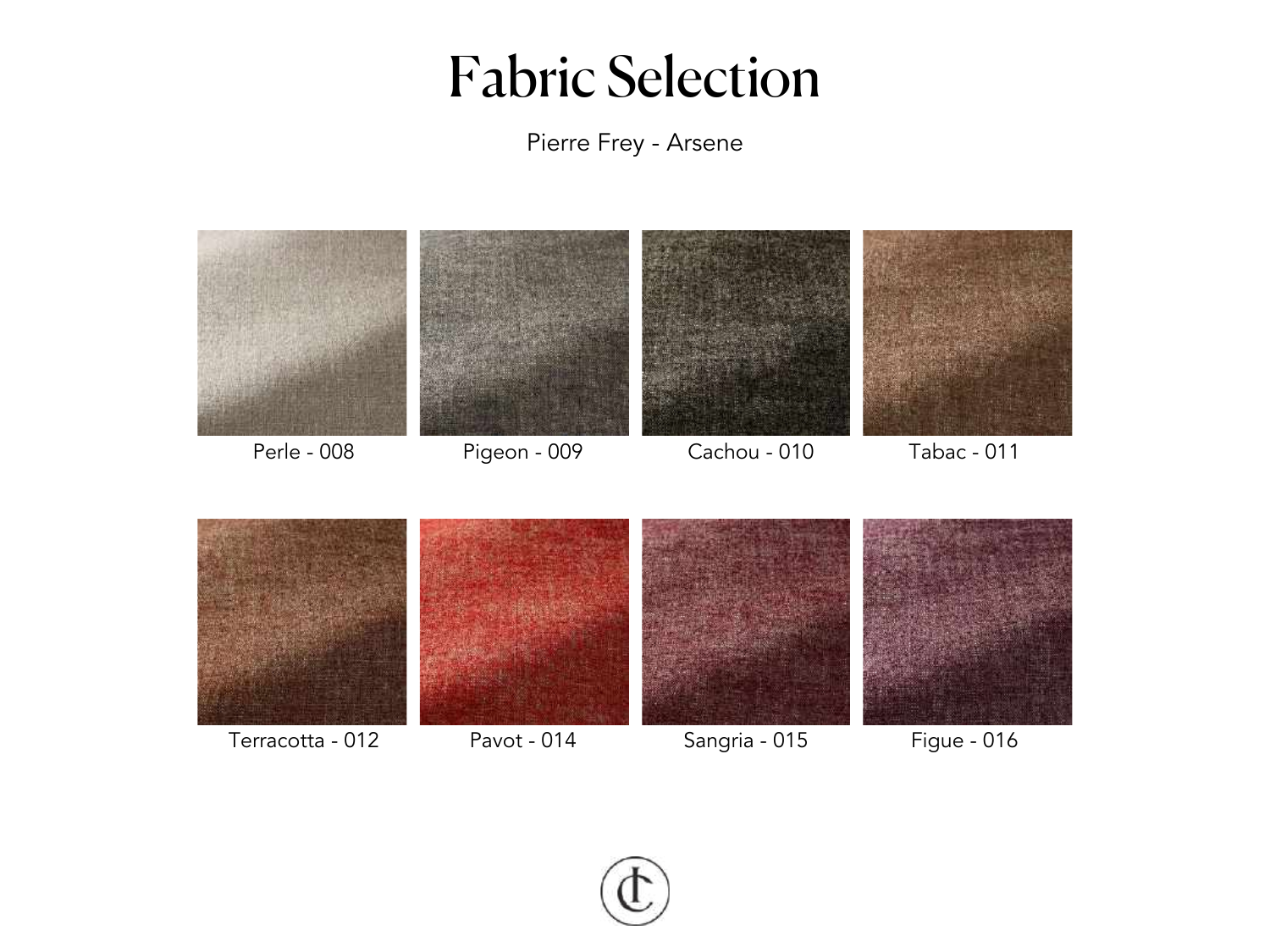

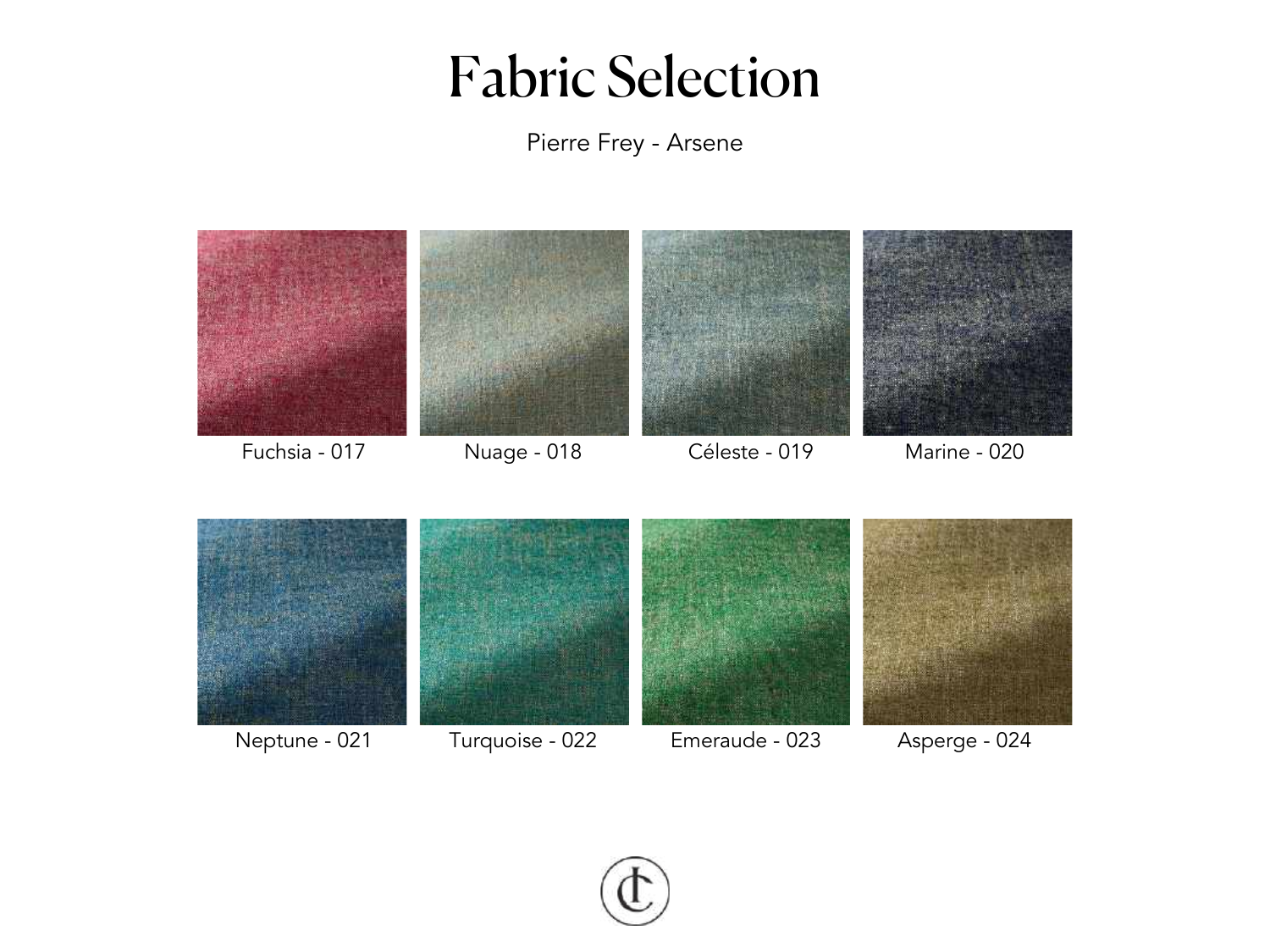